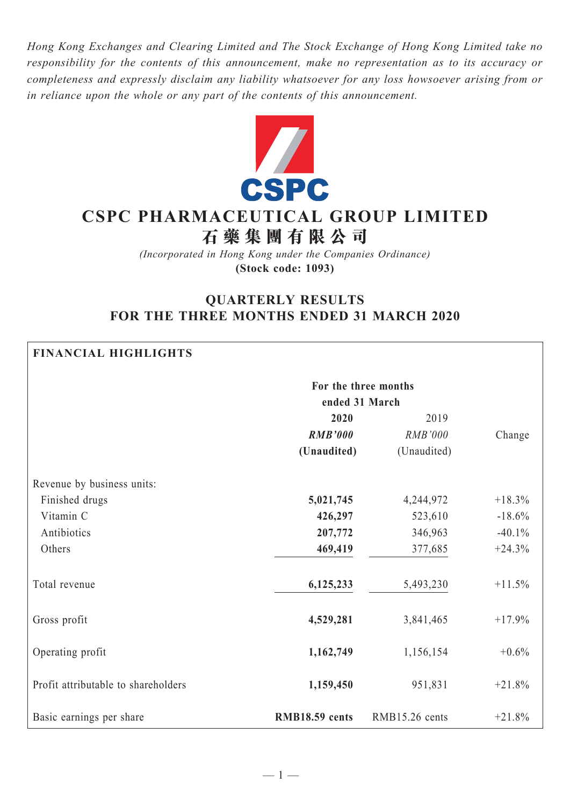*Hong Kong Exchanges and Clearing Limited and The Stock Exchange of Hong Kong Limited take no responsibility for the contents of this announcement, make no representation as to its accuracy or completeness and expressly disclaim any liability whatsoever for any loss howsoever arising from or in reliance upon the whole or any part of the contents of this announcement.*



# **CSPC Pharmaceutical Group Limited 石 藥 集 團 有 限 公 司**

*(Incorporated in Hong Kong under the Companies Ordinance)* **(Stock code: 1093)**

# **QUARTERLY RESULTS FOR THE THREE MONTHS ENDED 31 MARCH 2020**

| <b>FINANCIAL HIGHLIGHTS</b>         |                      |                |          |  |  |  |  |
|-------------------------------------|----------------------|----------------|----------|--|--|--|--|
|                                     | For the three months |                |          |  |  |  |  |
|                                     | ended 31 March       |                |          |  |  |  |  |
|                                     | 2020                 | 2019           |          |  |  |  |  |
|                                     | <b>RMB'000</b>       | RMB'000        | Change   |  |  |  |  |
|                                     | (Unaudited)          | (Unaudited)    |          |  |  |  |  |
| Revenue by business units:          |                      |                |          |  |  |  |  |
| Finished drugs                      | 5,021,745            | 4,244,972      | $+18.3%$ |  |  |  |  |
| Vitamin C                           | 426,297              | 523,610        | $-18.6%$ |  |  |  |  |
| Antibiotics                         | 207,772              | 346,963        | $-40.1%$ |  |  |  |  |
| Others                              | 469,419              | 377,685        | $+24.3%$ |  |  |  |  |
| Total revenue                       | 6,125,233            | 5,493,230      | $+11.5%$ |  |  |  |  |
| Gross profit                        | 4,529,281            | 3,841,465      | $+17.9%$ |  |  |  |  |
| Operating profit                    | 1,162,749            | 1,156,154      | $+0.6\%$ |  |  |  |  |
| Profit attributable to shareholders | 1,159,450            | 951,831        | $+21.8%$ |  |  |  |  |
| Basic earnings per share            | RMB18.59 cents       | RMB15.26 cents | $+21.8%$ |  |  |  |  |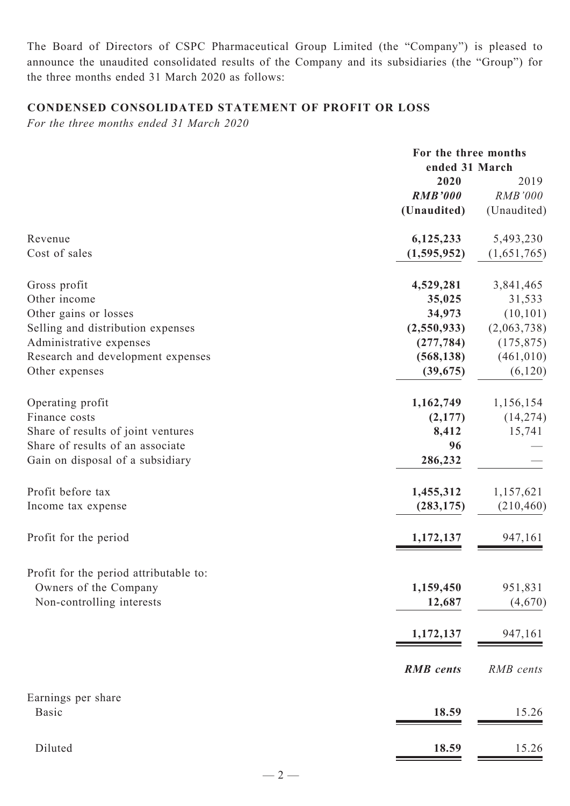The Board of Directors of CSPC Pharmaceutical Group Limited (the "Company") is pleased to announce the unaudited consolidated results of the Company and its subsidiaries (the "Group") for the three months ended 31 March 2020 as follows:

# **Condensed CONSOLIDATED STATEMENT OF PROFIT OR LOSS**

*For the three months ended 31 March 2020*

|                                        |                        | For the three months<br>ended 31 March |  |  |
|----------------------------------------|------------------------|----------------------------------------|--|--|
|                                        | 2020<br><b>RMB'000</b> | 2019<br><b>RMB'000</b>                 |  |  |
|                                        | (Unaudited)            | (Unaudited)                            |  |  |
| Revenue                                | 6,125,233              | 5,493,230                              |  |  |
| Cost of sales                          | (1,595,952)            | (1,651,765)                            |  |  |
| Gross profit                           | 4,529,281              | 3,841,465                              |  |  |
| Other income                           | 35,025                 | 31,533                                 |  |  |
| Other gains or losses                  | 34,973                 | (10, 101)                              |  |  |
| Selling and distribution expenses      | (2,550,933)            | (2,063,738)                            |  |  |
| Administrative expenses                | (277, 784)             | (175, 875)                             |  |  |
| Research and development expenses      | (568, 138)             | (461, 010)                             |  |  |
| Other expenses                         | (39, 675)              | (6,120)                                |  |  |
| Operating profit                       | 1,162,749              | 1,156,154                              |  |  |
| Finance costs                          | (2,177)                | (14, 274)                              |  |  |
| Share of results of joint ventures     | 8,412                  | 15,741                                 |  |  |
| Share of results of an associate       | 96                     |                                        |  |  |
| Gain on disposal of a subsidiary       | 286,232                |                                        |  |  |
| Profit before tax                      | 1,455,312              | 1,157,621                              |  |  |
| Income tax expense                     | (283, 175)             | (210, 460)                             |  |  |
| Profit for the period                  | 1,172,137              | 947,161                                |  |  |
| Profit for the period attributable to: |                        |                                        |  |  |
| Owners of the Company                  | 1,159,450              | 951,831                                |  |  |
| Non-controlling interests              | 12,687                 | (4,670)                                |  |  |
|                                        | 1,172,137              | 947,161                                |  |  |
|                                        |                        |                                        |  |  |
|                                        | <b>RMB</b> cents       | RMB cents                              |  |  |
| Earnings per share                     |                        |                                        |  |  |
| <b>Basic</b>                           | 18.59                  | 15.26                                  |  |  |
| Diluted                                | 18.59                  | 15.26                                  |  |  |
|                                        |                        |                                        |  |  |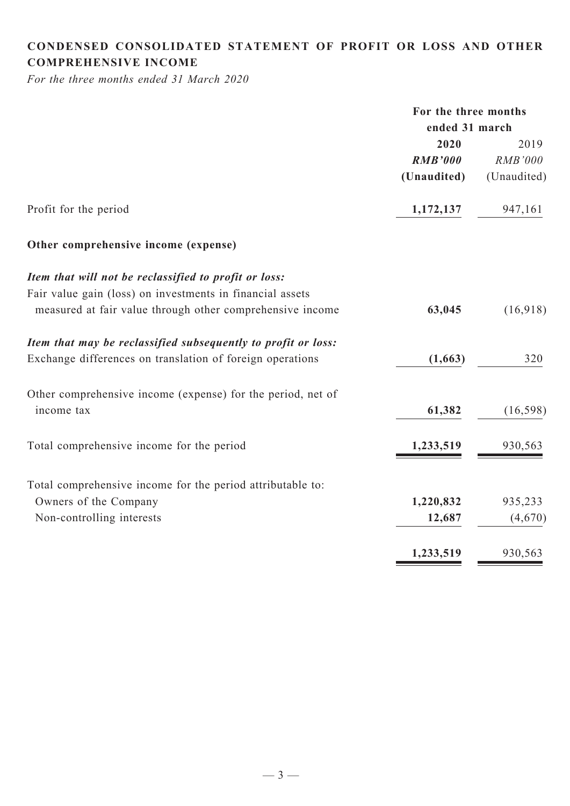# **CONDENSED CONSOLIDATED statement of Profit or Loss and Other comprehensive income**

*For the three months ended 31 March 2020*

|                                                               | For the three months |                |
|---------------------------------------------------------------|----------------------|----------------|
|                                                               | ended 31 march       |                |
|                                                               | 2020                 | 2019           |
|                                                               | <b>RMB'000</b>       | <b>RMB'000</b> |
|                                                               | (Unaudited)          | (Unaudited)    |
| Profit for the period                                         | 1,172,137            | 947,161        |
| Other comprehensive income (expense)                          |                      |                |
| Item that will not be reclassified to profit or loss:         |                      |                |
| Fair value gain (loss) on investments in financial assets     |                      |                |
| measured at fair value through other comprehensive income     | 63,045               | (16,918)       |
| Item that may be reclassified subsequently to profit or loss: |                      |                |
| Exchange differences on translation of foreign operations     | (1,663)              | 320            |
| Other comprehensive income (expense) for the period, net of   |                      |                |
| income tax                                                    | 61,382               | (16, 598)      |
| Total comprehensive income for the period                     | 1,233,519            | 930,563        |
| Total comprehensive income for the period attributable to:    |                      |                |
| Owners of the Company                                         | 1,220,832            | 935,233        |
| Non-controlling interests                                     | 12,687               | (4,670)        |
|                                                               | 1,233,519            | 930,563        |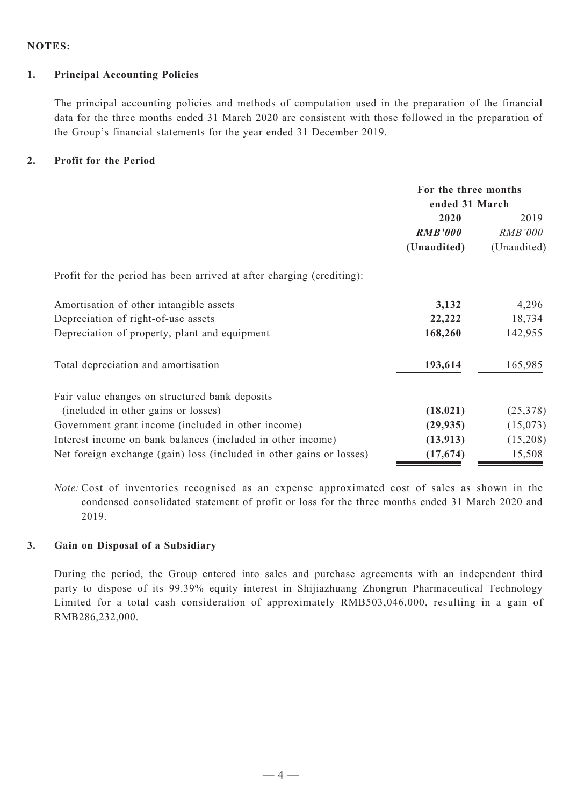#### **Notes:**

#### **1. Principal Accounting Policies**

The principal accounting policies and methods of computation used in the preparation of the financial data for the three months ended 31 March 2020 are consistent with those followed in the preparation of the Group's financial statements for the year ended 31 December 2019.

#### **2. Profit for the Period**

|                                                                       | For the three months<br>ended 31 March |                |
|-----------------------------------------------------------------------|----------------------------------------|----------------|
|                                                                       | 2020                                   | 2019           |
|                                                                       | <b>RMB'000</b>                         | <i>RMB'000</i> |
|                                                                       | (Unaudited)                            | (Unaudited)    |
| Profit for the period has been arrived at after charging (crediting): |                                        |                |
| Amortisation of other intangible assets                               | 3,132                                  | 4,296          |
| Depreciation of right-of-use assets                                   | 22,222                                 | 18,734         |
| Depreciation of property, plant and equipment                         | 168,260                                | 142,955        |
| Total depreciation and amortisation                                   | 193,614                                | 165,985        |
| Fair value changes on structured bank deposits                        |                                        |                |
| (included in other gains or losses)                                   | (18, 021)                              | (25,378)       |
| Government grant income (included in other income)                    | (29, 935)                              | (15,073)       |
| Interest income on bank balances (included in other income)           | (13, 913)                              | (15,208)       |
| Net foreign exchange (gain) loss (included in other gains or losses)  | (17, 674)                              | 15,508         |

*Note:* Cost of inventories recognised as an expense approximated cost of sales as shown in the condensed consolidated statement of profit or loss for the three months ended 31 March 2020 and 2019.

## **3. Gain on Disposal of a Subsidiary**

During the period, the Group entered into sales and purchase agreements with an independent third party to dispose of its 99.39% equity interest in Shijiazhuang Zhongrun Pharmaceutical Technology Limited for a total cash consideration of approximately RMB503,046,000, resulting in a gain of RMB286,232,000.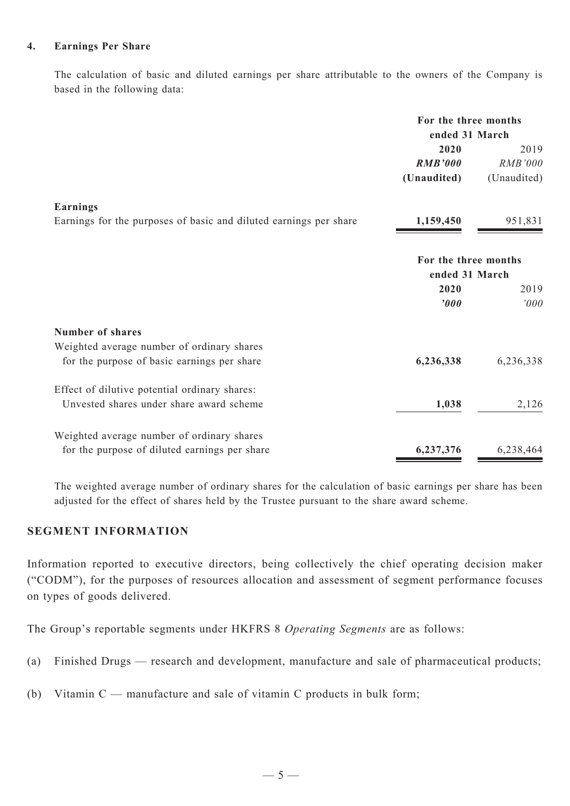#### **4. Earnings Per Share**

The calculation of basic and diluted earnings per share attributable to the owners of the Company is based in the following data:

|                                                                   | For the three months<br>ended 31 March |                |  |  |
|-------------------------------------------------------------------|----------------------------------------|----------------|--|--|
|                                                                   | 2020                                   | 2019           |  |  |
|                                                                   | <b>RMB'000</b>                         | <b>RMB'000</b> |  |  |
|                                                                   | (Unaudited)                            | (Unaudited)    |  |  |
| <b>Earnings</b>                                                   |                                        |                |  |  |
| Earnings for the purposes of basic and diluted earnings per share | 1,159,450                              | 951,831        |  |  |
|                                                                   | For the three months                   |                |  |  |
|                                                                   | ended 31 March                         |                |  |  |
|                                                                   | 2020                                   | 2019           |  |  |
|                                                                   | '000                                   | '000           |  |  |
| <b>Number of shares</b>                                           |                                        |                |  |  |
| Weighted average number of ordinary shares                        |                                        |                |  |  |
| for the purpose of basic earnings per share                       | 6,236,338                              | 6,236,338      |  |  |
| Effect of dilutive potential ordinary shares:                     |                                        |                |  |  |
| Unvested shares under share award scheme                          | 1,038                                  | 2,126          |  |  |
| Weighted average number of ordinary shares                        |                                        |                |  |  |
| for the purpose of diluted earnings per share                     | 6,237,376                              | 6,238,464      |  |  |

The weighted average number of ordinary shares for the calculation of basic earnings per share has been adjusted for the effect of shares held by the Trustee pursuant to the share award scheme.

# **Segment Information**

Information reported to executive directors, being collectively the chief operating decision maker ("CODM"), for the purposes of resources allocation and assessment of segment performance focuses on types of goods delivered.

The Group's reportable segments under HKFRS 8 *Operating Segments* are as follows:

- (a) Finished Drugs research and development, manufacture and sale of pharmaceutical products;
- (b) Vitamin C manufacture and sale of vitamin C products in bulk form;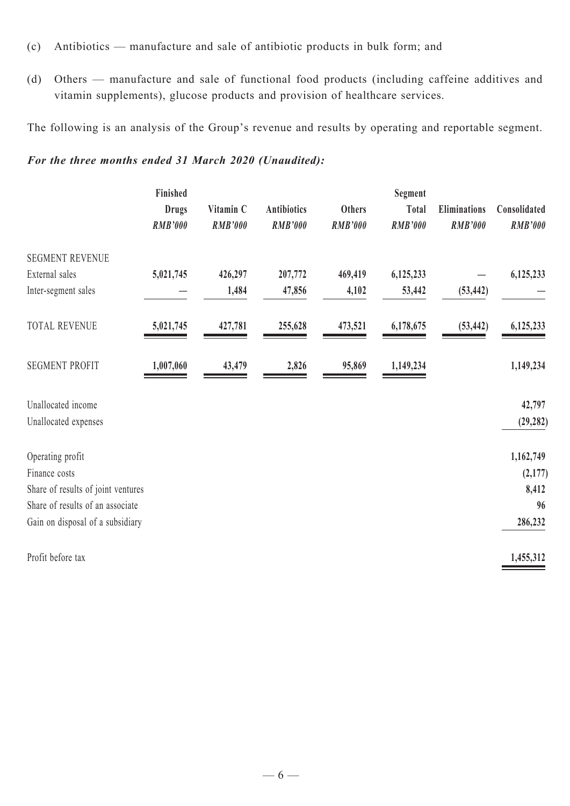- (c) Antibiotics manufacture and sale of antibiotic products in bulk form; and
- (d) Others manufacture and sale of functional food products (including caffeine additives and vitamin supplements), glucose products and provision of healthcare services.

The following is an analysis of the Group's revenue and results by operating and reportable segment.

# *For the three months ended 31 March 2020 (Unaudited):*

|                                    | Finished       |                |                    |                | Segment        | <b>Eliminations</b> | Consolidated   |
|------------------------------------|----------------|----------------|--------------------|----------------|----------------|---------------------|----------------|
|                                    | <b>Drugs</b>   | Vitamin C      | <b>Antibiotics</b> | <b>Others</b>  | Total          |                     |                |
|                                    | <b>RMB'000</b> | <b>RMB'000</b> | <b>RMB'000</b>     | <b>RMB'000</b> | <b>RMB'000</b> | <b>RMB'000</b>      | <b>RMB'000</b> |
| <b>SEGMENT REVENUE</b>             |                |                |                    |                |                |                     |                |
| External sales                     | 5,021,745      | 426,297        | 207,772            | 469,419        | 6,125,233      |                     | 6,125,233      |
| Inter-segment sales                |                | 1,484          | 47,856             | 4,102          | 53,442         | (53, 442)           |                |
| <b>TOTAL REVENUE</b>               | 5,021,745      | 427,781        | 255,628            | 473,521        | 6,178,675      | (53, 442)           | 6,125,233      |
| <b>SEGMENT PROFIT</b>              | 1,007,060      | 43,479         | 2,826              | 95,869         | 1,149,234      |                     | 1,149,234      |
| Unallocated income                 |                |                |                    |                |                |                     | 42,797         |
| Unallocated expenses               |                |                |                    |                |                |                     | (29, 282)      |
| Operating profit                   |                |                |                    |                |                |                     | 1,162,749      |
| Finance costs                      |                |                |                    |                |                |                     | (2, 177)       |
| Share of results of joint ventures |                |                |                    |                |                |                     | 8,412          |
| Share of results of an associate   |                |                |                    |                |                |                     | 96             |
| Gain on disposal of a subsidiary   |                |                |                    |                |                |                     | 286,232        |
| Profit before tax                  |                |                |                    |                |                |                     | 1,455,312      |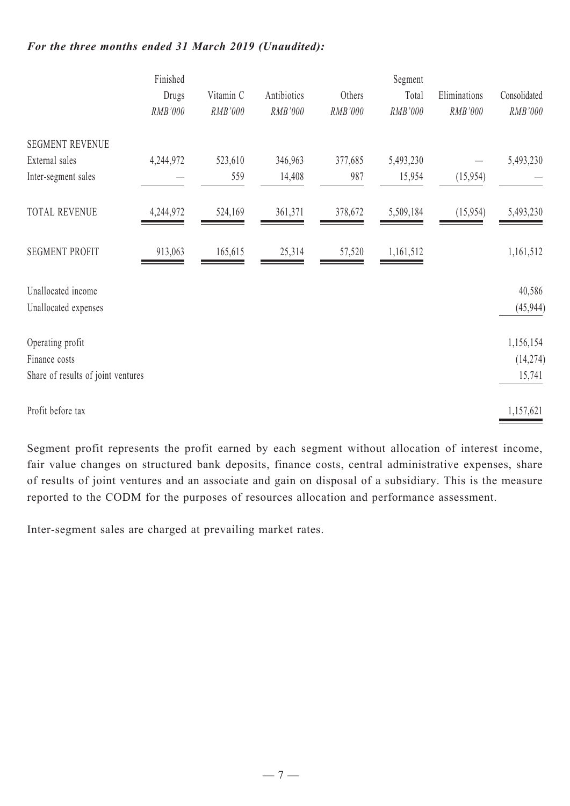# *For the three months ended 31 March 2019 (Unaudited):*

|                                            | Finished         |         |           |             | Segment   |          |                     |              |
|--------------------------------------------|------------------|---------|-----------|-------------|-----------|----------|---------------------|--------------|
|                                            | Drugs<br>RMB'000 |         | Vitamin C | Antibiotics | Others    | Total    | Eliminations        | Consolidated |
|                                            |                  | RMB'000 | RMB'000   | RMB'000     | RMB'000   | RMB'000  | RMB'000             |              |
| <b>SEGMENT REVENUE</b>                     |                  |         |           |             |           |          |                     |              |
| External sales                             | 4,244,972        | 523,610 | 346,963   | 377,685     | 5,493,230 |          | 5,493,230           |              |
| Inter-segment sales                        |                  | 559     | 14,408    | 987         | 15,954    | (15,954) |                     |              |
| <b>TOTAL REVENUE</b>                       | 4,244,972        | 524,169 | 361,371   | 378,672     | 5,509,184 | (15,954) | 5,493,230           |              |
| <b>SEGMENT PROFIT</b>                      | 913,063          | 165,615 | 25,314    | 57,520      | 1,161,512 |          | 1,161,512           |              |
| Unallocated income<br>Unallocated expenses |                  |         |           |             |           |          | 40,586<br>(45, 944) |              |
| Operating profit                           |                  |         |           |             |           |          | 1,156,154           |              |
| Finance costs                              |                  |         |           |             |           |          | (14, 274)           |              |
| Share of results of joint ventures         |                  |         |           |             |           |          | 15,741              |              |
| Profit before tax                          |                  |         |           |             |           |          | 1,157,621           |              |

Segment profit represents the profit earned by each segment without allocation of interest income, fair value changes on structured bank deposits, finance costs, central administrative expenses, share of results of joint ventures and an associate and gain on disposal of a subsidiary. This is the measure reported to the CODM for the purposes of resources allocation and performance assessment.

Inter-segment sales are charged at prevailing market rates.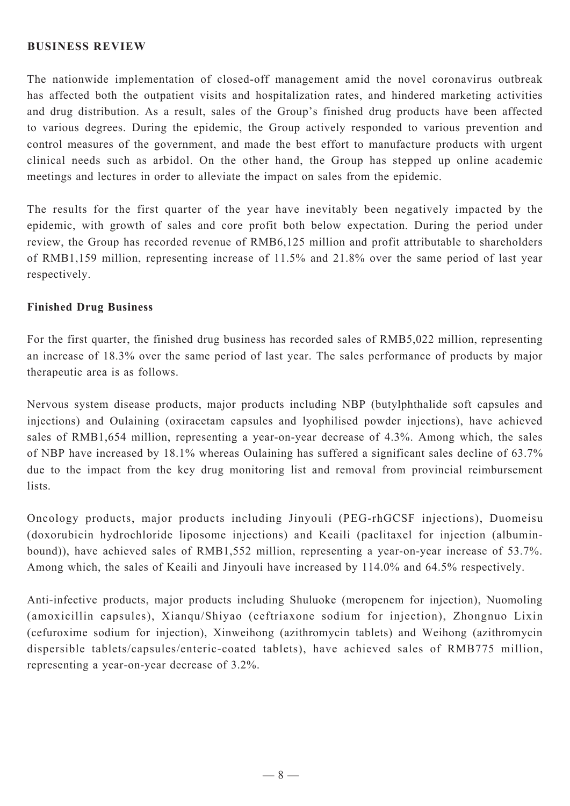#### **BUSINESS REVIEW**

The nationwide implementation of closed-off management amid the novel coronavirus outbreak has affected both the outpatient visits and hospitalization rates, and hindered marketing activities and drug distribution. As a result, sales of the Group's finished drug products have been affected to various degrees. During the epidemic, the Group actively responded to various prevention and control measures of the government, and made the best effort to manufacture products with urgent clinical needs such as arbidol. On the other hand, the Group has stepped up online academic meetings and lectures in order to alleviate the impact on sales from the epidemic.

The results for the first quarter of the year have inevitably been negatively impacted by the epidemic, with growth of sales and core profit both below expectation. During the period under review, the Group has recorded revenue of RMB6,125 million and profit attributable to shareholders of RMB1,159 million, representing increase of 11.5% and 21.8% over the same period of last year respectively.

#### **Finished Drug Business**

For the first quarter, the finished drug business has recorded sales of RMB5,022 million, representing an increase of 18.3% over the same period of last year. The sales performance of products by major therapeutic area is as follows.

Nervous system disease products, major products including NBP (butylphthalide soft capsules and injections) and Oulaining (oxiracetam capsules and lyophilised powder injections), have achieved sales of RMB1,654 million, representing a year-on-year decrease of 4.3%. Among which, the sales of NBP have increased by 18.1% whereas Oulaining has suffered a significant sales decline of 63.7% due to the impact from the key drug monitoring list and removal from provincial reimbursement lists.

Oncology products, major products including Jinyouli (PEG-rhGCSF injections), Duomeisu (doxorubicin hydrochloride liposome injections) and Keaili (paclitaxel for injection (albuminbound)), have achieved sales of RMB1,552 million, representing a year-on-year increase of 53.7%. Among which, the sales of Keaili and Jinyouli have increased by 114.0% and 64.5% respectively.

Anti-infective products, major products including Shuluoke (meropenem for injection), Nuomoling (amoxicillin capsules), Xianqu/Shiyao (ceftriaxone sodium for injection), Zhongnuo Lixin (cefuroxime sodium for injection), Xinweihong (azithromycin tablets) and Weihong (azithromycin dispersible tablets/capsules/enteric-coated tablets), have achieved sales of RMB775 million, representing a year-on-year decrease of 3.2%.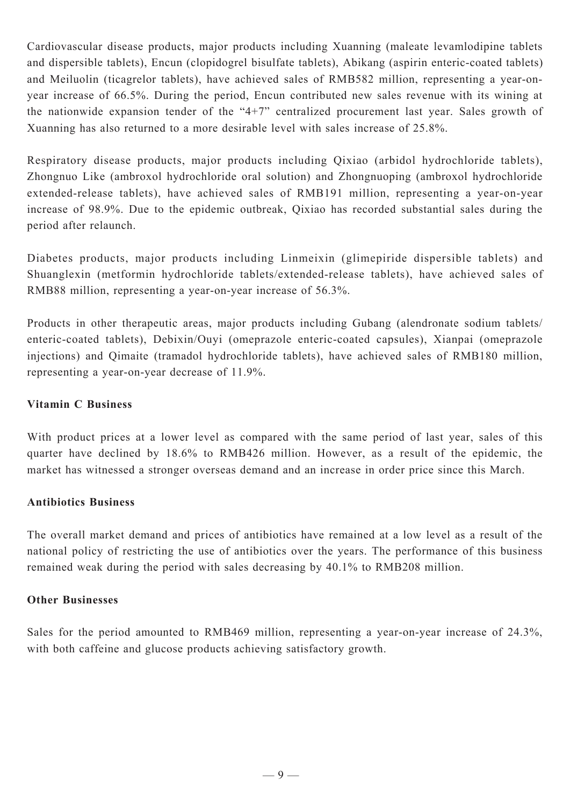Cardiovascular disease products, major products including Xuanning (maleate levamlodipine tablets and dispersible tablets), Encun (clopidogrel bisulfate tablets), Abikang (aspirin enteric-coated tablets) and Meiluolin (ticagrelor tablets), have achieved sales of RMB582 million, representing a year-onyear increase of 66.5%. During the period, Encun contributed new sales revenue with its wining at the nationwide expansion tender of the "4+7" centralized procurement last year. Sales growth of Xuanning has also returned to a more desirable level with sales increase of 25.8%.

Respiratory disease products, major products including Qixiao (arbidol hydrochloride tablets), Zhongnuo Like (ambroxol hydrochloride oral solution) and Zhongnuoping (ambroxol hydrochloride extended-release tablets), have achieved sales of RMB191 million, representing a year-on-year increase of 98.9%. Due to the epidemic outbreak, Qixiao has recorded substantial sales during the period after relaunch.

Diabetes products, major products including Linmeixin (glimepiride dispersible tablets) and Shuanglexin (metformin hydrochloride tablets/extended-release tablets), have achieved sales of RMB88 million, representing a year-on-year increase of 56.3%.

Products in other therapeutic areas, major products including Gubang (alendronate sodium tablets/ enteric-coated tablets), Debixin/Ouyi (omeprazole enteric-coated capsules), Xianpai (omeprazole injections) and Qimaite (tramadol hydrochloride tablets), have achieved sales of RMB180 million, representing a year-on-year decrease of 11.9%.

## **Vitamin C Business**

With product prices at a lower level as compared with the same period of last year, sales of this quarter have declined by 18.6% to RMB426 million. However, as a result of the epidemic, the market has witnessed a stronger overseas demand and an increase in order price since this March.

## **Antibiotics Business**

The overall market demand and prices of antibiotics have remained at a low level as a result of the national policy of restricting the use of antibiotics over the years. The performance of this business remained weak during the period with sales decreasing by 40.1% to RMB208 million.

## **Other Businesses**

Sales for the period amounted to RMB469 million, representing a year-on-year increase of 24.3%, with both caffeine and glucose products achieving satisfactory growth.